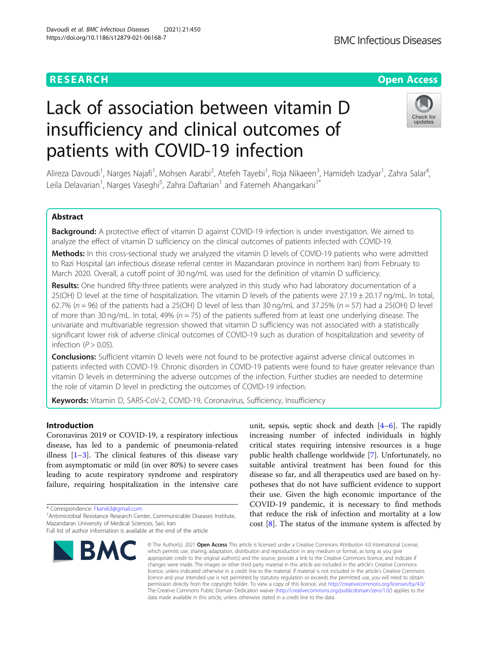# Lack of association between vitamin D insufficiency and clinical outcomes of patients with COVID-19 infection

Alireza Davoudi<sup>1</sup>, Narges Najafi<sup>1</sup>, Mohsen Aarabi<sup>2</sup>, Atefeh Tayebi<sup>1</sup>, Roja Nikaeen<sup>3</sup>, Hamideh Izadyar<sup>1</sup>, Zahra Salar<sup>4</sup> , Leila Delavarian<sup>1</sup>, Narges Vaseghi<sup>5</sup>, Zahra Daftarian<sup>1</sup> and Fatemeh Ahangarkani<sup>1\*</sup>

# Abstract

Background: A protective effect of vitamin D against COVID-19 infection is under investigation. We aimed to analyze the effect of vitamin D sufficiency on the clinical outcomes of patients infected with COVID-19.

Methods: In this cross-sectional study we analyzed the vitamin D levels of COVID-19 patients who were admitted to Razi Hospital (an infectious disease referral center in Mazandaran province in northern Iran) from February to March 2020. Overall, a cutoff point of 30 ng/mL was used for the definition of vitamin D sufficiency.

Results: One hundred fifty-three patients were analyzed in this study who had laboratory documentation of a 25(OH) D level at the time of hospitalization. The vitamin D levels of the patients were  $27.19 \pm 20.17$  ng/mL. In total, 62.7% ( $n = 96$ ) of the patients had a 25(OH) D level of less than 30 ng/mL and 37.25% ( $n = 57$ ) had a 25(OH) D level of more than 30 ng/mL. In total, 49% ( $n = 75$ ) of the patients suffered from at least one underlying disease. The univariate and multivariable regression showed that vitamin D sufficiency was not associated with a statistically significant lower risk of adverse clinical outcomes of COVID-19 such as duration of hospitalization and severity of infection ( $P > 0.05$ ).

**Conclusions:** Sufficient vitamin D levels were not found to be protective against adverse clinical outcomes in patients infected with COVID-19. Chronic disorders in COVID-19 patients were found to have greater relevance than vitamin D levels in determining the adverse outcomes of the infection. Further studies are needed to determine the role of vitamin D level in predicting the outcomes of COVID-19 infection.

Keywords: Vitamin D, SARS-CoV-2, COVID-19, Coronavirus, Sufficiency, Insufficiency

Introduction

Coronavirus 2019 or COVID-19, a respiratory infectious disease, has led to a pandemic of pneumonia-related illness  $[1-3]$  $[1-3]$  $[1-3]$  $[1-3]$ . The clinical features of this disease vary from asymptomatic or mild (in over 80%) to severe cases leading to acute respiratory syndrome and respiratory failure, requiring hospitalization in the intensive care

\* Correspondence: [Fkani63@gmail.com](mailto:Fkani63@gmail.com) <sup>1</sup>

<sup>1</sup> Antimicrobial Resistance Research Center, Communicable Diseases Institute, Mazandaran University of Medical Sciences, Sari, Iran



unit, sepsis, septic shock and death [\[4](#page-5-0)–[6\]](#page-5-0). The rapidly increasing number of infected individuals in highly critical states requiring intensive resources is a huge public health challenge worldwide [[7\]](#page-5-0). Unfortunately, no suitable antiviral treatment has been found for this disease so far, and all therapeutics used are based on hypotheses that do not have sufficient evidence to support their use. Given the high economic importance of the COVID-19 pandemic, it is necessary to find methods that reduce the risk of infection and mortality at a low cost [[8\]](#page-5-0). The status of the immune system is affected by

© The Author(s), 2021 **Open Access** This article is licensed under a Creative Commons Attribution 4.0 International License, which permits use, sharing, adaptation, distribution and reproduction in any medium or format, as long as you give appropriate credit to the original author(s) and the source, provide a link to the Creative Commons licence, and indicate if changes were made. The images or other third party material in this article are included in the article's Creative Commons licence, unless indicated otherwise in a credit line to the material. If material is not included in the article's Creative Commons licence and your intended use is not permitted by statutory regulation or exceeds the permitted use, you will need to obtain permission directly from the copyright holder. To view a copy of this licence, visit [http://creativecommons.org/licenses/by/4.0/.](http://creativecommons.org/licenses/by/4.0/) The Creative Commons Public Domain Dedication waiver [\(http://creativecommons.org/publicdomain/zero/1.0/](http://creativecommons.org/publicdomain/zero/1.0/)) applies to the data made available in this article, unless otherwise stated in a credit line to the data.



# **RESEARCH CHE Open Access**





Full list of author information is available at the end of the article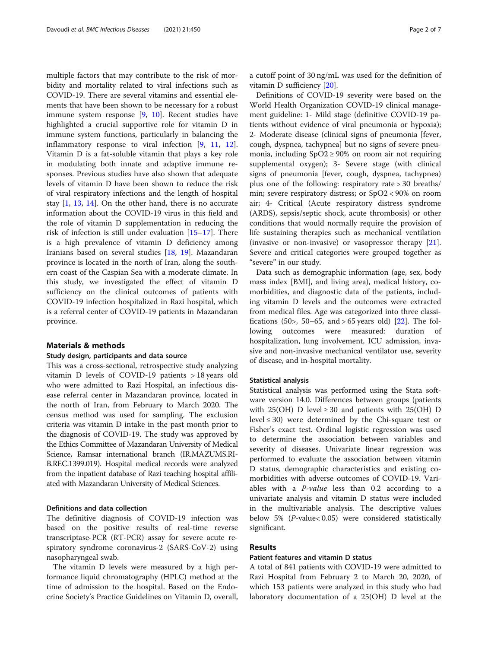multiple factors that may contribute to the risk of morbidity and mortality related to viral infections such as COVID-19. There are several vitamins and essential elements that have been shown to be necessary for a robust immune system response [[9,](#page-5-0) [10](#page-5-0)]. Recent studies have highlighted a crucial supportive role for vitamin D in immune system functions, particularly in balancing the inflammatory response to viral infection [[9,](#page-5-0) [11,](#page-5-0) [12](#page-5-0)]. Vitamin D is a fat-soluble vitamin that plays a key role in modulating both innate and adaptive immune responses. Previous studies have also shown that adequate levels of vitamin D have been shown to reduce the risk of viral respiratory infections and the length of hospital stay  $[1, 13, 14]$  $[1, 13, 14]$  $[1, 13, 14]$  $[1, 13, 14]$  $[1, 13, 14]$ . On the other hand, there is no accurate information about the COVID-19 virus in this field and the role of vitamin D supplementation in reducing the risk of infection is still under evaluation [[15](#page-5-0)–[17](#page-5-0)]. There is a high prevalence of vitamin D deficiency among Iranians based on several studies [[18,](#page-5-0) [19](#page-5-0)]. Mazandaran province is located in the north of Iran, along the southern coast of the Caspian Sea with a moderate climate. In this study, we investigated the effect of vitamin D sufficiency on the clinical outcomes of patients with COVID-19 infection hospitalized in Razi hospital, which is a referral center of COVID-19 patients in Mazandaran province.

#### Materials & methods

### Study design, participants and data source

This was a cross-sectional, retrospective study analyzing vitamin D levels of COVID-19 patients > 18 years old who were admitted to Razi Hospital, an infectious disease referral center in Mazandaran province, located in the north of Iran, from February to March 2020. The census method was used for sampling. The exclusion criteria was vitamin D intake in the past month prior to the diagnosis of COVID-19. The study was approved by the Ethics Committee of Mazandaran University of Medical Science, Ramsar international branch (IR.MAZUMS.RI-B.REC.1399.019). Hospital medical records were analyzed from the inpatient database of Razi teaching hospital affiliated with Mazandaran University of Medical Sciences.

#### Definitions and data collection

The definitive diagnosis of COVID-19 infection was based on the positive results of real-time reverse transcriptase-PCR (RT-PCR) assay for severe acute respiratory syndrome coronavirus-2 (SARS-CoV-2) using nasopharyngeal swab.

The vitamin D levels were measured by a high performance liquid chromatography (HPLC) method at the time of admission to the hospital. Based on the Endocrine Society's Practice Guidelines on Vitamin D, overall, a cutoff point of 30 ng/mL was used for the definition of vitamin D sufficiency [[20](#page-5-0)].

Definitions of COVID-19 severity were based on the World Health Organization COVID-19 clinical management guideline: 1- Mild stage (definitive COVID-19 patients without evidence of viral pneumonia or hypoxia); 2- Moderate disease (clinical signs of pneumonia [fever, cough, dyspnea, tachypnea] but no signs of severe pneumonia, including  $SpO2 \ge 90\%$  on room air not requiring supplemental oxygen); 3- Severe stage (with clinical signs of pneumonia [fever, cough, dyspnea, tachypnea) plus one of the following: respiratory rate > 30 breaths/ min; severe respiratory distress; or SpO2 < 90% on room air; 4- Critical (Acute respiratory distress syndrome (ARDS), sepsis/septic shock, acute thrombosis) or other conditions that would normally require the provision of life sustaining therapies such as mechanical ventilation (invasive or non-invasive) or vasopressor therapy [\[21](#page-5-0)]. Severe and critical categories were grouped together as "severe" in our study.

Data such as demographic information (age, sex, body mass index [BMI], and living area), medical history, comorbidities, and diagnostic data of the patients, including vitamin D levels and the outcomes were extracted from medical files. Age was categorized into three classi-fications (50>, 50–65, and > 65 years old) [\[22](#page-5-0)]. The following outcomes were measured: duration of hospitalization, lung involvement, ICU admission, invasive and non-invasive mechanical ventilator use, severity of disease, and in-hospital mortality.

#### Statistical analysis

Statistical analysis was performed using the Stata software version 14.0. Differences between groups (patients with 25(OH) D level  $\geq$  30 and patients with 25(OH) D level ≤ 30) were determined by the Chi-square test or Fisher's exact test. Ordinal logistic regression was used to determine the association between variables and severity of diseases. Univariate linear regression was performed to evaluate the association between vitamin D status, demographic characteristics and existing comorbidities with adverse outcomes of COVID-19. Variables with a  $P-value$  less than 0.2 according to a univariate analysis and vitamin D status were included in the multivariable analysis. The descriptive values below 5% (P-value< 0.05) were considered statistically significant.

#### Results

#### Patient features and vitamin D status

A total of 841 patients with COVID-19 were admitted to Razi Hospital from February 2 to March 20, 2020, of which 153 patients were analyzed in this study who had laboratory documentation of a 25(OH) D level at the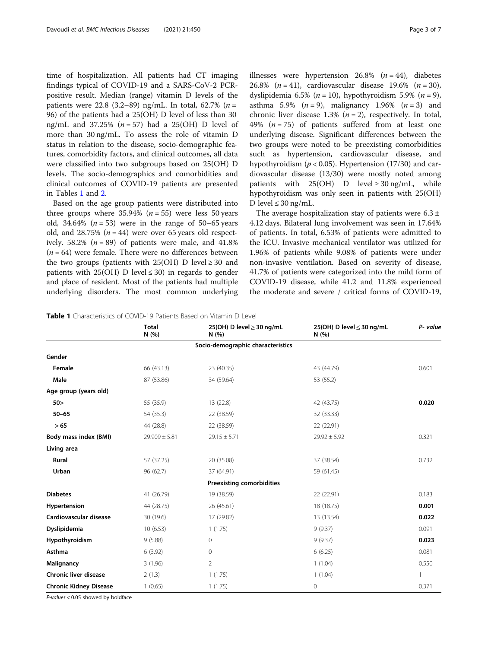time of hospitalization. All patients had CT imaging findings typical of COVID-19 and a SARS-CoV-2 PCRpositive result. Median (range) vitamin D levels of the patients were 22.8 (3.2–89) ng/mL. In total, 62.7% ( $n =$ 96) of the patients had a 25(OH) D level of less than 30 ng/mL and 37.25%  $(n = 57)$  had a 25(OH) D level of more than 30 ng/mL. To assess the role of vitamin D status in relation to the disease, socio-demographic features, comorbidity factors, and clinical outcomes, all data were classified into two subgroups based on 25(OH) D levels. The socio-demographics and comorbidities and clinical outcomes of COVID-19 patients are presented in Tables 1 and [2](#page-3-0).

Based on the age group patients were distributed into three groups where  $35.94\%$  ( $n = 55$ ) were less 50 years old, 34.64%  $(n = 53)$  were in the range of 50–65 years old, and  $28.75\%$  ( $n = 44$ ) were over 65 years old respectively. 58.2% ( $n = 89$ ) of patients were male, and 41.8%  $(n = 64)$  were female. There were no differences between the two groups (patients with  $25(OH)$  D level  $\geq 30$  and patients with 25(OH) D level  $\leq$  30) in regards to gender and place of resident. Most of the patients had multiple underlying disorders. The most common underlying illnesses were hypertension 26.8%  $(n = 44)$ , diabetes 26.8%  $(n = 41)$ , cardiovascular disease 19.6%  $(n = 30)$ , dyslipidemia 6.5% ( $n = 10$ ), hypothyroidism 5.9% ( $n = 9$ ), asthma 5.9% ( $n = 9$ ), malignancy 1.96% ( $n = 3$ ) and chronic liver disease 1.3%  $(n = 2)$ , respectively. In total, 49% ( $n = 75$ ) of patients suffered from at least one underlying disease. Significant differences between the two groups were noted to be preexisting comorbidities such as hypertension, cardiovascular disease, and hypothyroidism ( $p < 0.05$ ). Hypertension (17/30) and cardiovascular disease (13/30) were mostly noted among patients with  $25(OH)$  D level  $\geq 30$  ng/mL, while hypothyroidism was only seen in patients with 25(OH) D level  $\leq 30$  ng/mL.

The average hospitalization stay of patients were  $6.3 \pm$ 4.12 days. Bilateral lung involvement was seen in 17.64% of patients. In total, 6.53% of patients were admitted to the ICU. Invasive mechanical ventilator was utilized for 1.96% of patients while 9.08% of patients were under non-invasive ventilation. Based on severity of disease, 41.7% of patients were categorized into the mild form of COVID-19 disease, while 41.2 and 11.8% experienced the moderate and severe / critical forms of COVID-19,

| <b>Table 1</b> Characteristics of COVID-19 Patients Based on Vitamin D Level |
|------------------------------------------------------------------------------|
|------------------------------------------------------------------------------|

|                               | <b>Total</b><br>N (%) | 25(OH) D level ≥ 30 ng/mL<br>N(%) | 25(OH) D level $\leq$ 30 ng/mL<br>N(%) | P- value |
|-------------------------------|-----------------------|-----------------------------------|----------------------------------------|----------|
|                               |                       | Socio-demographic characteristics |                                        |          |
| Gender                        |                       |                                   |                                        |          |
| Female                        | 66 (43.13)            | 23 (40.35)                        | 43 (44.79)                             | 0.601    |
| Male                          | 87 (53.86)            | 34 (59.64)                        | 53 (55.2)                              |          |
| Age group (years old)         |                       |                                   |                                        |          |
| 50 >                          | 55 (35.9)             | 13 (22.8)                         | 42 (43.75)                             | 0.020    |
| $50 - 65$                     | 54 (35.3)             | 22 (38.59)                        | 32 (33.33)                             |          |
| > 65                          | 44 (28.8)             | 22 (38.59)                        | 22 (22.91)                             |          |
| Body mass index (BMI)         | $29.909 \pm 5.81$     | $29.15 \pm 5.71$                  | $29.92 \pm 5.92$                       | 0.321    |
| Living area                   |                       |                                   |                                        |          |
| Rural                         | 57 (37.25)            | 20 (35.08)                        | 37 (38.54)                             | 0.732    |
| Urban                         | 96 (62.7)             | 37 (64.91)                        | 59 (61.45)                             |          |
|                               |                       | <b>Preexisting comorbidities</b>  |                                        |          |
| <b>Diabetes</b>               | 41 (26.79)            | 19 (38.59)                        | 22 (22.91)                             | 0.183    |
| Hypertension                  | 44 (28.75)            | 26 (45.61)                        | 18 (18.75)                             | 0.001    |
| Cardiovascular disease        | 30 (19.6)             | 17 (29.82)                        | 13 (13.54)                             | 0.022    |
| Dyslipidemia                  | 10(6.53)              | 1(1.75)                           | 9(9.37)                                | 0.091    |
| Hypothyroidism                | 9(5.88)               | 0                                 | 9(9.37)                                | 0.023    |
| Asthma                        | 6(3.92)               | 0                                 | 6(6.25)                                | 0.081    |
| Malignancy                    | 3(1.96)               | $\overline{2}$                    | 1(1.04)                                | 0.550    |
| <b>Chronic liver disease</b>  | 2(1.3)                | 1(1.75)                           | 1(1.04)                                | 1        |
| <b>Chronic Kidney Disease</b> | 1(0.65)               | 1(1.75)                           | 0                                      | 0.371    |

P-values < 0.05 showed by boldface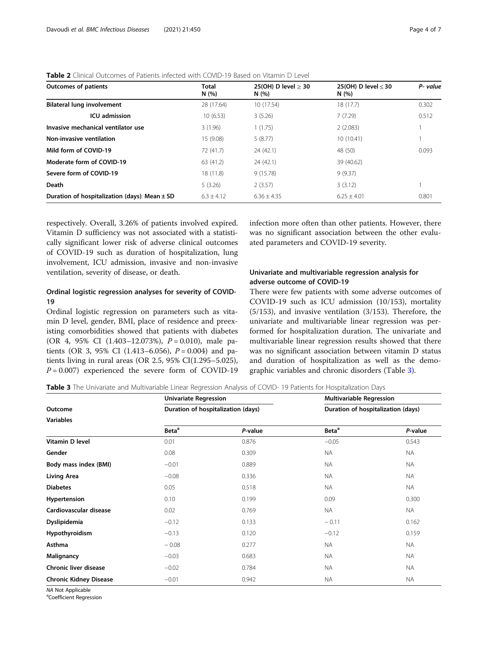| <b>Outcomes of patients</b>                       | <b>Total</b><br>N(96) | $25(OH)$ D level $>30$<br>N(96) | 25(OH) D level $<$ 30<br>N(96) | P- value |
|---------------------------------------------------|-----------------------|---------------------------------|--------------------------------|----------|
| Bilateral lung involvement                        | 28 (17.64)            | 10 (17.54)                      | 18(17.7)                       | 0.302    |
| <b>ICU</b> admission                              | 10(6.53)              | 3(5.26)                         | 7(7.29)                        | 0.512    |
| Invasive mechanical ventilator use                | 3(1.96)               | 1(1.75)                         | 2(2.083)                       |          |
| Non-invasive ventilation                          | 15 (9.08)             | 5(8.77)                         | 10(10.41)                      |          |
| Mild form of COVID-19                             | 72 (41.7)             | 24(42.1)                        | 48 (50)                        | 0.093    |
| Moderate form of COVID-19                         | 63 (41.2)             | 24(42.1)                        | 39 (40.62)                     |          |
| Severe form of COVID-19                           | 18(11.8)              | 9(15.78)                        | 9(9.37)                        |          |
| Death                                             | 5(3.26)               | 2(3.57)                         | 3(3.12)                        |          |
| Duration of hospitalization (days): Mean $\pm$ SD | $6.3 \pm 4.12$        | $6.36 + 4.35$                   | $6.25 + 4.01$                  | 0.801    |

<span id="page-3-0"></span>Table 2 Clinical Outcomes of Patients infected with COVID-19 Based on Vitamin D Level

respectively. Overall, 3.26% of patients involved expired. Vitamin D sufficiency was not associated with a statistically significant lower risk of adverse clinical outcomes of COVID-19 such as duration of hospitalization, lung involvement, ICU admission, invasive and non-invasive ventilation, severity of disease, or death.

# Ordinal logistic regression analyses for severity of COVID-19

Ordinal logistic regression on parameters such as vitamin D level, gender, BMI, place of residence and preexisting comorbidities showed that patients with diabetes (OR 4, 95% CI  $(1.403-12.073)$ ,  $P = 0.010$ ), male patients (OR 3, 95% CI (1.413–6.056),  $P = 0.004$ ) and patients living in rural areas (OR 2.5, 95% CI(1.295–5.025),  $P = 0.007$ ) experienced the severe form of COVID-19 infection more often than other patients. However, there was no significant association between the other evaluated parameters and COVID-19 severity.

## Univariate and multivariable regression analysis for adverse outcome of COVID-19

There were few patients with some adverse outcomes of COVID-19 such as ICU admission (10/153), mortality (5/153), and invasive ventilation (3/153). Therefore, the univariate and multivariable linear regression was performed for hospitalization duration. The univariate and multivariable linear regression results showed that there was no significant association between vitamin D status and duration of hospitalization as well as the demographic variables and chronic disorders (Table 3).

Table 3 The Univariate and Multivariable Linear Regression Analysis of COVID- 19 Patients for Hospitalization Days

|                               | <b>Univariate Regression</b> |                                    | <b>Multivariable Regression</b><br>Duration of hospitalization (days) |           |  |
|-------------------------------|------------------------------|------------------------------------|-----------------------------------------------------------------------|-----------|--|
| Outcome                       |                              | Duration of hospitalization (days) |                                                                       |           |  |
| <b>Variables</b>              |                              |                                    |                                                                       |           |  |
|                               | Beta <sup>a</sup>            | P-value                            | Beta <sup>a</sup>                                                     | P-value   |  |
| Vitamin D level               | 0.01                         | 0.876                              | $-0.05$                                                               | 0.543     |  |
| Gender                        | 0.08                         | 0.309                              | NA.                                                                   | <b>NA</b> |  |
| Body mass index (BMI)         | $-0.01$                      | 0.889                              | NA.                                                                   | <b>NA</b> |  |
| <b>Living Area</b>            | $-0.08$                      | 0.336                              | <b>NA</b>                                                             | <b>NA</b> |  |
| <b>Diabetes</b>               | 0.05                         | 0.518                              | <b>NA</b>                                                             | <b>NA</b> |  |
| Hypertension                  | 0.10                         | 0.199                              | 0.09                                                                  | 0.300     |  |
| Cardiovascular disease        | 0.02                         | 0.769                              | <b>NA</b>                                                             | <b>NA</b> |  |
| Dyslipidemia                  | $-0.12$                      | 0.133                              | $-0.11$                                                               | 0.162     |  |
| Hypothyroidism                | $-0.13$                      | 0.120                              | $-0.12$                                                               | 0.159     |  |
| Asthma                        | $-0.08$                      | 0.277                              | NA.                                                                   | NA.       |  |
| Malignancy                    | $-0.03$                      | 0.683                              | NA.                                                                   | <b>NA</b> |  |
| <b>Chronic liver disease</b>  | $-0.02$                      | 0.784                              | <b>NA</b>                                                             | <b>NA</b> |  |
| <b>Chronic Kidney Disease</b> | $-0.01$                      | 0.942                              | <b>NA</b>                                                             | <b>NA</b> |  |

NA Not Applicable

Coefficient Regression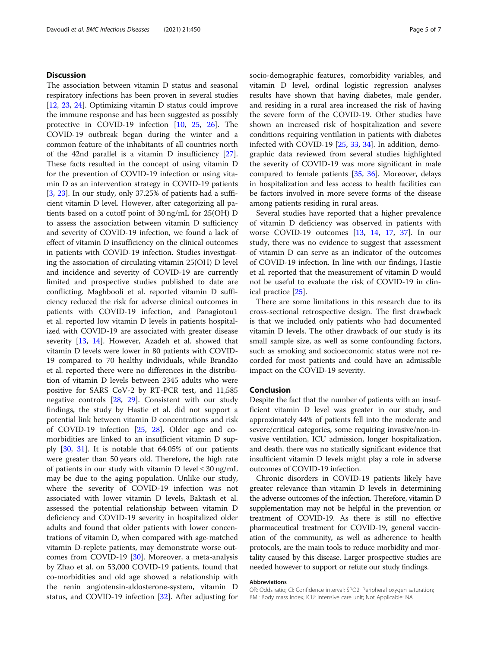#### **Discussion**

The association between vitamin D status and seasonal respiratory infections has been proven in several studies [[12,](#page-5-0) [23](#page-5-0), [24](#page-5-0)]. Optimizing vitamin D status could improve the immune response and has been suggested as possibly protective in COVID-19 infection [\[10](#page-5-0), [25,](#page-5-0) [26](#page-5-0)]. The COVID-19 outbreak began during the winter and a common feature of the inhabitants of all countries north of the 42nd parallel is a vitamin D insufficiency [\[27](#page-6-0)]. These facts resulted in the concept of using vitamin D for the prevention of COVID-19 infection or using vitamin D as an intervention strategy in COVID-19 patients [[3,](#page-5-0) [23\]](#page-5-0). In our study, only 37.25% of patients had a sufficient vitamin D level. However, after categorizing all patients based on a cutoff point of 30 ng/mL for 25(OH) D to assess the association between vitamin D sufficiency and severity of COVID-19 infection, we found a lack of effect of vitamin D insufficiency on the clinical outcomes in patients with COVID-19 infection. Studies investigating the association of circulating vitamin 25(OH) D level and incidence and severity of COVID-19 are currently limited and prospective studies published to date are conflicting. Maghbooli et al. reported vitamin D sufficiency reduced the risk for adverse clinical outcomes in patients with COVID-19 infection, and Panagiotou1 et al. reported low vitamin D levels in patients hospitalized with COVID-19 are associated with greater disease severity [[13,](#page-5-0) [14\]](#page-5-0). However, Azadeh et al. showed that vitamin D levels were lower in 80 patients with COVID-19 compared to 70 healthy individuals, while Brandão et al. reported there were no differences in the distribution of vitamin D levels between 2345 adults who were positive for SARS CoV-2 by RT-PCR test, and 11,585 negative controls [[28,](#page-6-0) [29](#page-6-0)]. Consistent with our study findings, the study by Hastie et al. did not support a potential link between vitamin D concentrations and risk of COVID-19 infection [\[25](#page-5-0), [28](#page-6-0)]. Older age and comorbidities are linked to an insufficient vitamin D supply [[30,](#page-6-0) [31\]](#page-6-0). It is notable that 64.05% of our patients were greater than 50 years old. Therefore, the high rate of patients in our study with vitamin D level  $\leq 30$  ng/mL may be due to the aging population. Unlike our study, where the severity of COVID-19 infection was not associated with lower vitamin D levels, Baktash et al. assessed the potential relationship between vitamin D deficiency and COVID-19 severity in hospitalized older adults and found that older patients with lower concentrations of vitamin D, when compared with age-matched vitamin D-replete patients, may demonstrate worse outcomes from COVID-19 [\[30](#page-6-0)]. Moreover, a meta-analysis by Zhao et al. on 53,000 COVID-19 patients, found that co-morbidities and old age showed a relationship with the renin angiotensin-aldosterone-system, vitamin D status, and COVID-19 infection [\[32](#page-6-0)]. After adjusting for socio-demographic features, comorbidity variables, and vitamin D level, ordinal logistic regression analyses results have shown that having diabetes, male gender, and residing in a rural area increased the risk of having the severe form of the COVID-19. Other studies have shown an increased risk of hospitalization and severe conditions requiring ventilation in patients with diabetes infected with COVID-19 [[25](#page-5-0), [33,](#page-6-0) [34\]](#page-6-0). In addition, demographic data reviewed from several studies highlighted the severity of COVID-19 was more significant in male compared to female patients [\[35](#page-6-0), [36](#page-6-0)]. Moreover, delays in hospitalization and less access to health facilities can be factors involved in more severe forms of the disease among patients residing in rural areas.

Several studies have reported that a higher prevalence of vitamin D deficiency was observed in patients with worse COVID-19 outcomes [\[13](#page-5-0), [14](#page-5-0), [17](#page-5-0), [37](#page-6-0)]. In our study, there was no evidence to suggest that assessment of vitamin D can serve as an indicator of the outcomes of COVID-19 infection. In line with our findings, Hastie et al. reported that the measurement of vitamin D would not be useful to evaluate the risk of COVID-19 in clinical practice [[25\]](#page-5-0).

There are some limitations in this research due to its cross-sectional retrospective design. The first drawback is that we included only patients who had documented vitamin D levels. The other drawback of our study is its small sample size, as well as some confounding factors, such as smoking and socioeconomic status were not recorded for most patients and could have an admissible impact on the COVID-19 severity.

#### Conclusion

Despite the fact that the number of patients with an insufficient vitamin D level was greater in our study, and approximately 44% of patients fell into the moderate and severe/critical categories, some requiring invasive/non-invasive ventilation, ICU admission, longer hospitalization, and death, there was no statically significant evidence that insufficient vitamin D levels might play a role in adverse outcomes of COVID-19 infection.

Chronic disorders in COVID-19 patients likely have greater relevance than vitamin D levels in determining the adverse outcomes of the infection. Therefore, vitamin D supplementation may not be helpful in the prevention or treatment of COVID-19. As there is still no effective pharmaceutical treatment for COVID-19, general vaccination of the community, as well as adherence to health protocols, are the main tools to reduce morbidity and mortality caused by this disease. Larger prospective studies are needed however to support or refute our study findings.

#### Abbreviations

OR: Odds ratio; CI: Confidence interval; SPO2: Peripheral oxygen saturation; BMI: Body mass index; ICU: Intensive care unit; Not Applicable: NA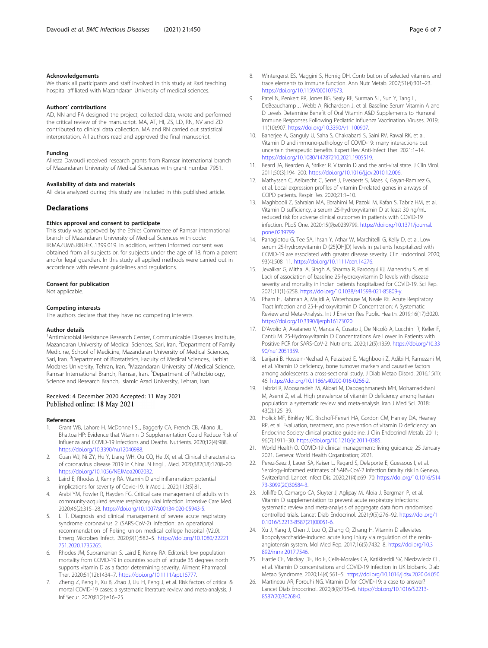#### <span id="page-5-0"></span>Acknowledgements

We thank all participants and staff involved in this study at Razi teaching hospital affiliated with Mazandaran University of medical sciences.

#### Authors' contributions

AD, NN and FA designed the project, collected data, wrote and performed the critical review of the manuscript. MA, AT, HI, ZS, LD, RN, NV and ZD contributed to clinical data collection. MA and RN carried out statistical interpretation. All authors read and approved the final manuscript.

#### Funding

Alireza Davoudi received research grants from Ramsar international branch of Mazandaran University of Medical Sciences with grant number 7951.

#### Availability of data and materials

All data analyzed during this study are included in this published article.

#### **Declarations**

#### Ethics approval and consent to participate

This study was approved by the Ethics Committee of Ramsar international branch of Mazandaran University of Medical Sciences with code: IR.MAZUMS.RIB.REC.1399.019. In addition, written informed consent was obtained from all subjects or, for subjects under the age of 18, from a parent and/or legal guardian. In this study all applied methods were carried out in accordance with relevant guidelines and regulations.

#### Consent for publication

Not applicable.

#### Competing interests

The authors declare that they have no competing interests.

#### Author details

<sup>1</sup> Antimicrobial Resistance Research Center, Communicable Diseases Institute, Mazandaran University of Medical Sciences, Sari, Iran. <sup>2</sup>Department of Family Medicine, School of Medicine, Mazandaran University of Medical Sciences, Sari, Iran. <sup>3</sup>Department of Biostatistics, Faculty of Medical Sciences, Tarbiat Modares University, Tehran, Iran. <sup>4</sup>Mazandaran University of Medical Science, Ramsar International Branch, Ramsar, Iran. <sup>5</sup>Department of Pathobiology, Science and Research Branch, Islamic Azad University, Tehran, Iran.

#### Received: 4 December 2020 Accepted: 11 May 2021 Published online: 18 May 2021

#### References

- Grant WB, Lahore H, McDonnell SL, Baggerly CA, French CB, Aliano JL, Bhattoa HP: Evidence that Vitamin D Supplementation Could Reduce Risk of Influenza and COVID-19 Infections and Deaths. Nutrients. 2020;12(4):988. [https://doi.org/10.3390/nu12040988.](https://doi.org/10.3390/nu12040988)
- 2. Guan WJ, Ni ZY, Hu Y, Liang WH, Ou CQ, He JX, et al. Clinical characteristics of coronavirus disease 2019 in China. N Engl J Med. 2020;382(18):1708–20. <https://doi.org/10.1056/NEJMoa2002032>.
- Laird E, Rhodes J, Kenny RA. Vitamin D and inflammation: potential implications for severity of Covid-19. Ir Med J. 2020;113(5):81.
- 4. Arabi YM, Fowler R, Hayden FG. Critical care management of adults with community-acquired severe respiratory viral infection. Intensive Care Med. 2020;46(2):315–28. <https://doi.org/10.1007/s00134-020-05943-5>.
- Li T. Diagnosis and clinical management of severe acute respiratory syndrome coronavirus 2 (SARS-CoV-2) infection: an operational recommendation of Peking union medical college hospital (V2.0). Emerg Microbes Infect. 2020;9(1):582–5. [https://doi.org/10.1080/22221](https://doi.org/10.1080/22221751.2020.1735265) [751.2020.1735265](https://doi.org/10.1080/22221751.2020.1735265).
- 6. Rhodes JM, Subramanian S, Laird E, Kenny RA. Editorial: low population mortality from COVID-19 in countries south of latitude 35 degrees north supports vitamin D as a factor determining severity. Aliment Pharmacol Ther. 2020;51(12):1434–7. [https://doi.org/10.1111/apt.15777.](https://doi.org/10.1111/apt.15777)
- 7. Zheng Z, Peng F, Xu B, Zhao J, Liu H, Peng J, et al. Risk factors of critical & mortal COVID-19 cases: a systematic literature review and meta-analysis. J Inf Secur. 2020;81(2):e16–25.
- 8. Wintergerst ES, Maggini S, Hornig DH. Contribution of selected vitamins and trace elements to immune function. Ann Nutr Metab. 2007;51(4):301–23. [https://doi.org/10.1159/000107673.](https://doi.org/10.1159/000107673)
- 9. Patel N, Penkert RR, Jones BG, Sealy RE, Surman SL, Sun Y, Tang L, DeBeauchamp J, Webb A, Richardson J, et al. Baseline Serum Vitamin A and D Levels Determine Benefit of Oral Vitamin A&D Supplements to Humoral Immune Responses Following Pediatric Influenza Vaccination. Viruses. 2019; 11(10):907. [https://doi.org/10.3390/v11100907.](https://doi.org/10.3390/v11100907)
- 10. Banerjee A, Ganguly U, Saha S, Chakrabarti S, Saini RV, Rawal RK, et al. Vitamin D and immuno-pathology of COVID-19: many interactions but uncertain therapeutic benefits. Expert Rev Anti-Infect Ther. 2021:1–14. <https://doi.org/10.1080/14787210.2021.1905519>.
- 11. Beard JA, Bearden A, Striker R. Vitamin D and the anti-viral state. J Clin Virol. 2011;50(3):194–200. <https://doi.org/10.1016/j.jcv.2010.12.006>.
- 12. Mathyssen C, Aelbrecht C, Serré J, Everaerts S, Maes K, Gayan-Ramirez G, et al. Local expression profiles of vitamin D-related genes in airways of COPD patients. Respir Res. 2020;21:1–10.
- 13. Maghbooli Z, Sahraian MA, Ebrahimi M, Pazoki M, Kafan S, Tabriz HM, et al. Vitamin D sufficiency, a serum 25-hydroxyvitamin D at least 30 ng/mL reduced risk for adverse clinical outcomes in patients with COVID-19 infection. PLoS One. 2020;15(9):e0239799. [https://doi.org/10.1371/journal.](https://doi.org/10.1371/journal.pone.0239799) [pone.0239799.](https://doi.org/10.1371/journal.pone.0239799)
- 14. Panagiotou G, Tee SA, Ihsan Y, Athar W, Marchitelli G, Kelly D, et al. Low serum 25-hydroxyvitamin D (25[OH]D) levels in patients hospitalized with COVID-19 are associated with greater disease severity. Clin Endocrinol. 2020; 93(4):508–11. [https://doi.org/10.1111/cen.14276.](https://doi.org/10.1111/cen.14276)
- 15. Jevalikar G, Mithal A, Singh A, Sharma R, Farooqui KJ, Mahendru S, et al. Lack of association of baseline 25-hydroxyvitamin D levels with disease severity and mortality in Indian patients hospitalized for COVID-19. Sci Rep. 2021;11(1):6258. <https://doi.org/10.1038/s41598-021-85809-y>.
- 16. Pham H, Rahman A, Majidi A, Waterhouse M, Neale RE. Acute Respiratory Tract Infection and 25-Hydroxyvitamin D Concentration: A Systematic Review and Meta-Analysis. Int J Environ Res Public Health. 2019;16(17):3020. <https://doi.org/10.3390/ijerph16173020>.
- 17. D'Avolio A, Avataneo V, Manca A, Cusato J, De Nicolò A, Lucchini R, Keller F, Cantù M. 25-Hydroxyvitamin D Concentrations Are Lower in Patients with Positive PCR for SARS-CoV-2. Nutrients. 2020;12(5):1359. [https://doi.org/10.33](https://doi.org/10.3390/nu12051359) [90/nu12051359.](https://doi.org/10.3390/nu12051359)
- 18. Larijani B, Hossein-Nezhad A, Feizabad E, Maghbooli Z, Adibi H, Ramezani M, et al. Vitamin D deficiency, bone turnover markers and causative factors among adolescents: a cross-sectional study. J Diab Metab Disord. 2016;15(1): 46. <https://doi.org/10.1186/s40200-016-0266-2>.
- 19. Tabrizi R, Moosazadeh M, Akbari M, Dabbaghmanesh MH, Mohamadkhani M, Asemi Z, et al. High prevalence of vitamin D deficiency among Iranian population: a systematic review and meta-analysis. Iran J Med Sci. 2018; 43(2):125–39.
- 20. Holick MF, Binkley NC, Bischoff-Ferrari HA, Gordon CM, Hanley DA, Heaney RP, et al. Evaluation, treatment, and prevention of vitamin D deficiency: an Endocrine Society clinical practice guideline. J Clin Endocrinol Metab. 2011; 96(7):1911–30. [https://doi.org/10.1210/jc.2011-0385.](https://doi.org/10.1210/jc.2011-0385)
- 21. World Health O. COVID-19 clinical management: living guidance, 25 January 2021. Geneva: World Health Organization; 2021.
- 22. Perez-Saez J, Lauer SA, Kaiser L, Regard S, Delaporte E, Guessous I, et al. Serology-informed estimates of SARS-CoV-2 infection fatality risk in Geneva, Switzerland. Lancet Infect Dis. 2020;21(4):e69–70. [https://doi.org/10.1016/S14](https://doi.org/10.1016/S1473-3099(20)30584-3) [73-3099\(20\)30584-3](https://doi.org/10.1016/S1473-3099(20)30584-3).
- 23. Jolliffe D, Camargo CA, Sluyter J, Aglipay M, Aloia J, Bergman P, et al. Vitamin D supplementation to prevent acute respiratory infections: systematic review and meta-analysis of aggregate data from randomised controlled trials. Lancet Diab Endocrinol. 2021;9(5):276–92. [https://doi.org/1](https://doi.org/10.1016/S2213-8587(21)00051-6) [0.1016/S2213-8587\(21\)00051-6](https://doi.org/10.1016/S2213-8587(21)00051-6).
- 24. Xu J, Yang J, Chen J, Luo Q, Zhang Q, Zhang H. Vitamin D alleviates lipopolysaccharide-induced acute lung injury via regulation of the reninangiotensin system. Mol Med Rep. 2017;16(5):7432–8. [https://doi.org/10.3](https://doi.org/10.3892/mmr.2017.7546) [892/mmr.2017.7546.](https://doi.org/10.3892/mmr.2017.7546)
- 25. Hastie CE, Mackay DF, Ho F, Celis-Morales CA, Katikireddi SV, Niedzwiedz CL, et al. Vitamin D concentrations and COVID-19 infection in UK biobank. Diab Metab Syndrome. 2020;14(4):561–5. [https://doi.org/10.1016/j.dsx.2020.04.050.](https://doi.org/10.1016/j.dsx.2020.04.050)
- 26. Martineau AR, Forouhi NG. Vitamin D for COVID-19: a case to answer? Lancet Diab Endocrinol. 2020;8(9):735–6. [https://doi.org/10.1016/S2213-](https://doi.org/10.1016/S2213-8587(20)30268-0) [8587\(20\)30268-0](https://doi.org/10.1016/S2213-8587(20)30268-0).